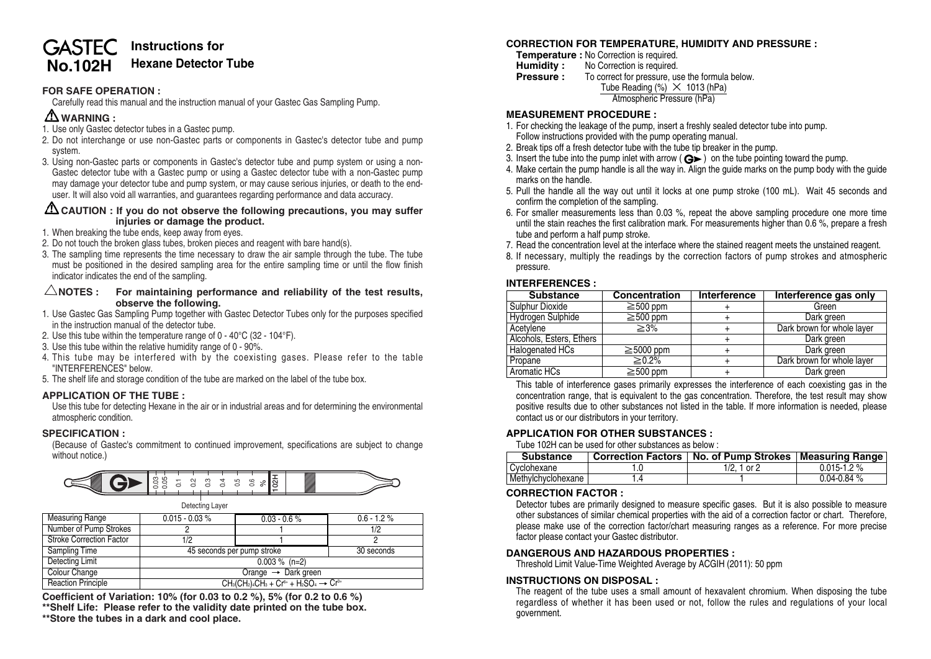#### **Instructions for GASTEC Hexane Detector Tube No.102H**

# **FOR SAFE OPERATION :**

Carefully read this manual and the instruction manual of your Gastec Gas Sampling Pump.

# **WARNING :**

- 1. Use only Gastec detector tubes in a Gastec pump.
- 2. Do not interchange or use non-Gastec parts or components in Gastec's detector tube and pump system.
- 3. Using non-Gastec parts or components in Gastec's detector tube and pump system or using a non-Gastec detector tube with a Gastec pump or using a Gastec detector tube with a non-Gastec pump may damage your detector tube and pump system, or may cause serious injuries, or death to the enduser. It will also void all warranties, and guarantees regarding performance and data accuracy.

#### **CAUTION : If you do not observe the following precautions, you may suffer injuries or damage the product.**

- 1. When breaking the tube ends, keep away from eyes.
- 2. Do not touch the broken glass tubes, broken pieces and reagent with bare hand(s).
- 3. The sampling time represents the time necessary to draw the air sample through the tube. The tube must be positioned in the desired sampling area for the entire sampling time or until the flow finish indicator indicates the end of the sampling.

#### $\triangle$ NOTES : For maintaining performance and reliability of the test results, **observe the following.**

- 1. Use Gastec Gas Sampling Pump together with Gastec Detector Tubes only for the purposes specified in the instruction manual of the detector tube.
- 2. Use this tube within the temperature range of 0 40°C (32 104°F).
- 3. Use this tube within the relative humidity range of 0 90%.
- 4. This tube may be interfered with by the coexisting gases. Please refer to the table "INTERFERENCES" below.
- 5. The shelf life and storage condition of the tube are marked on the label of the tube box.

### **APPLICATION OF THE TUBE :**

Use this tube for detecting Hexane in the air or in industrial areas and for determining the environmental atmospheric condition.

### **SPECIFICATION :**

(Because of Gastec's commitment to continued improvement, specifications are subject to change without notice.)



| Measuring Range                 | $0.015 - 0.03 %$                                     | $0.03 - 0.6%$ | $0.6 - 1.2 \%$ |  |
|---------------------------------|------------------------------------------------------|---------------|----------------|--|
| Number of Pump Strokes          |                                                      |               | 1/2            |  |
| <b>Stroke Correction Factor</b> | 1/2                                                  |               |                |  |
| Sampling Time                   | 45 seconds per pump stroke                           |               | 30 seconds     |  |
| Detecting Limit                 | $0.003 \%$ (n=2)                                     |               |                |  |
| Colour Change                   | Orange $\rightarrow$ Dark green                      |               |                |  |
| <b>Reaction Principle</b>       | $CH_3(CH_2)_4CH_3 + Cr6+ + H_2SO_4 \rightarrow Cr3+$ |               |                |  |

**Coefficient of Variation: 10% (for 0.03 to 0.2 %), 5% (for 0.2 to 0.6 %)**

**\*\*Shelf Life: Please refer to the validity date printed on the tube box.**

**\*\*Store the tubes in a dark and cool place.**

# **CORRECTION FOR TEMPERATURE, HUMIDITY AND PRESSURE :**

- **Temperature :** No Correction is required.<br>**Humidity :** No Correction is required.
- **Humidity :** No Correction is required.<br>**Pressure :** To correct for pressure, us
- To correct for pressure, use the formula below.

Tube Reading  $%$   $\times$  1013 (hPa)

Atmospheric Pressure (hPa)

#### **MEASUREMENT PROCEDURE :**

- 1. For checking the leakage of the pump, insert a freshly sealed detector tube into pump. Follow instructions provided with the pump operating manual.
- 2. Break tips off a fresh detector tube with the tube tip breaker in the pump.
- 3. Insert the tube into the pump inlet with arrow  $\overrightarrow{G}$  ) on the tube pointing toward the pump.
- 4. Make certain the pump handle is all the way in. Align the guide marks on the pump body with the guide marks on the handle.
- 5. Pull the handle all the way out until it locks at one pump stroke (100 mL). Wait 45 seconds and confirm the completion of the sampling.
- 6. For smaller measurements less than 0.03 %, repeat the above sampling procedure one more time until the stain reaches the first calibration mark. For measurements higher than 0.6 %, prepare a fresh tube and perform a half pump stroke.
- 7. Read the concentration level at the interface where the stained reagent meets the unstained reagent.
- 8. If necessary, multiply the readings by the correction factors of pump strokes and atmospheric pressure.

#### **INTERFERENCES :**

| <b>Substance</b>         | <b>Concentration</b> | Interference | <b>Interference gas only</b> |
|--------------------------|----------------------|--------------|------------------------------|
| Sulphur Dioxide          | $\geq$ 500 ppm       |              | Green                        |
| <b>Hydrogen Sulphide</b> | $\geq$ 500 ppm       |              | Dark green                   |
| Acetylene                | $\geq 3\%$           |              | Dark brown for whole layer   |
| Alcohols, Esters, Ethers |                      |              | Dark green                   |
| <b>Halogenated HCs</b>   | $\geq$ 5000 ppm      |              | Dark green                   |
| Propane                  | $\geq 0.2\%$         |              | Dark brown for whole layer   |
| Aromatic HCs             | $\geq$ 500 ppm       |              | Dark green                   |

This table of interference gases primarily expresses the interference of each coexisting gas in the concentration range, that is equivalent to the gas concentration. Therefore, the test result may show positive results due to other substances not listed in the table. If more information is needed, please contact us or our distributors in your territory.

### **APPLICATION FOR OTHER SUBSTANCES :**

Tube 102H can be used for other substances as below :

| <b>Substance</b>   | <b>Correction Factors</b> | No. of Pump Strokes   Measuring Range |                   |
|--------------------|---------------------------|---------------------------------------|-------------------|
| Cyclohexane        |                           | $1/2.1$ or 2                          | $0.015$ -1.2 $\%$ |
| Methvichvclohexane |                           |                                       | $0.04 - 0.84$ %   |

### **CORRECTION FACTOR :**

Detector tubes are primarily designed to measure specific gases. But it is also possible to measure other substances of similar chemical properties with the aid of a correction factor or chart. Therefore, please make use of the correction factor/chart measuring ranges as a reference. For more precise factor please contact your Gastec distributor.

### **DANGEROUS AND HAZARDOUS PROPERTIES :**

Threshold Limit Value-Time Weighted Average by ACGIH (2011): 50 ppm

#### **INSTRUCTIONS ON DISPOSAL :**

The reagent of the tube uses a small amount of hexavalent chromium. When disposing the tube regardless of whether it has been used or not, follow the rules and regulations of your local government.